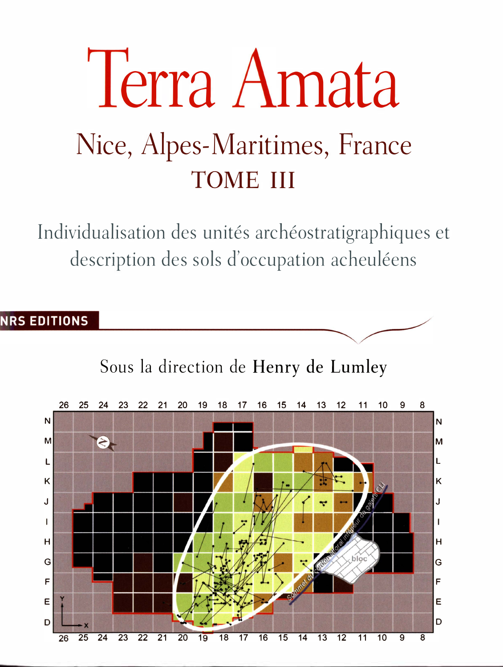# Terra Amata Nice, Alpes-Maritimes, France TOME III

Individualisation des unités archéostratigraphiques et description des sols d'occupation acheuléens

## **NRS EDITIONS**



Sous la direction de Henry de Lumley

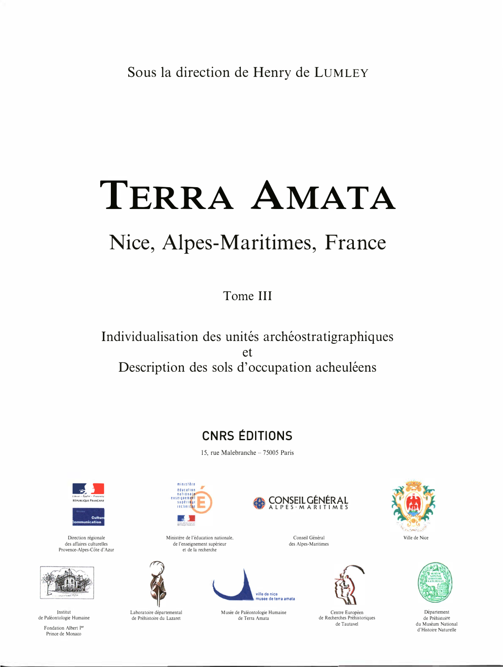## TERRA AMATA

## Nice, Alpes-Maritimes, France

Tome III

Individualisation des unités archéostratigraphiques  $et$ Description des sols d'occupation acheuléens

## **CNRS ÉDITIONS**

15, rue Malebranche - 75005 Paris

ville de pice sée de terra amata

Musée de Paléontologie Humaine

de Terra Amata



Direction régionale des affaires culturelles Provence-Alpes-Côte d'Azur



Institut de Paléontologie Humaine

Fondation Albert Ier Prince de Monaco



Ministère de l'éducation nationale,

de l'enseignement supérieur

et de la recherche

Laboratoire départemental

de Préhistoire du Lazaret



Conseil Général des Alpes-Maritimes



Centre Européen de Recherches Préhistoriques de Tautavel





Département de Préhistoire du Muséum National d'Histoire Naturelle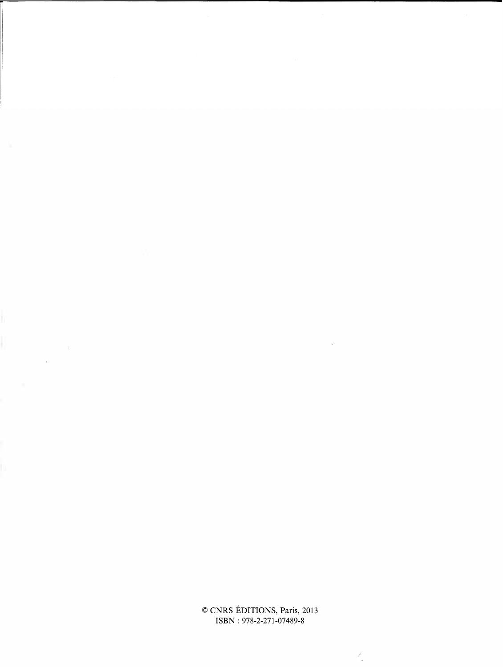© CNRS EDITIONS, Paris, 2013 ISBN: 978-2-271-07489-8

 $\overline{\phantom{a}}$ 

 $\sim 10^{-10}$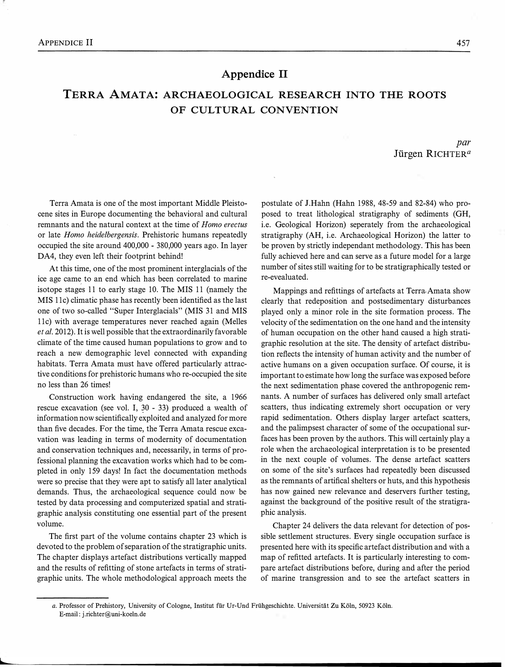#### Appendice IT

### TERRA AMATA: ARCHAEOLOGICAL RESEARCH INTO THE ROOTS OF CULTURAL CONVENTION

par Jürgen RICHTER<sup>a</sup>

Terra Amata is one of the most important Middle Pleistocene sites in Europe documenting the behavioral and cultural remnants and the natural context at the time of Homo erectus or late Homo heidelbergensis. Prehistoric humans repeatedly occupied the site around 400,000 - 380,000 years ago. In layer DA4, they even left their footprint behind!

At this time, one of the most prominent interglacials of the ice age came to an end which has been correlated to marine isotope stages 11 to early stage 10. The MIS 11 (namely the MIS 11c) climatic phase has recently been identified as the last one of two so-called "Super Interglacials" (MIS 31 and MIS 11c) with average temperatures never reached again (Melles et al. 2012). It is well possible that the extraordinarily favorable climate of the time caused human populations to grow and to reach a new demographic level connected with expanding habitats. Terra Amata must have offered particularly attractive conditions for prehistoric humans who re-occupied the site no less than 26 times!

Construction work having endangered the site, a 1966 rescue excavation (see vol. I, 30 - 33) produced a wealth of information now scientifically exploited and analyzed for more than five decades. For the time, the Terra Amata rescue excavation was leading in terms of modernity of documentation and conservation techniques and, necessarily, in terms of professional planning the excavation works which had to be completed in only 159 days! In fact the documentation methods were so precise that they were apt to satisfy all later analytical demands. Thus, the archaeological sequence could now be tested by data processing and computerized spatial and stratigraphic analysis constituting one essential part of the present volume.

The first part of the volume contains chapter 23 which is devoted to the problem of separation of the stratigraphic units. The chapter displays artefact distributions vertically mapped and the results of refitting of stone artefacts in terms of stratigraphic units. The whole methodological approach meets the

postulate of J.Hahn (Hahn 1988, 48-59 and 82-84) who proposed to treat lithological stratigraphy of sediments (GH, i.e. Geological Horizon) seperately from the archaeological stratigraphy (AH, i.e. Archaeological Horizon) the latter to be proven by strictly independant methodology. This has been fully achieved here and can serve as a future model for a large number of sites still waiting for to be stratigraphically tested or re-evealuated.

Mappings and refittings of artefacts at Terra Amata show clearly that redeposition and postsedimentary disturbances played only a minor role in the site formation process. The velocity of the sedimentation on the one hand and the intensity of human occupation on the other hand caused a high stratigraphic resolution at the site. The density of artefact distribution reflects the intensity of human activity and the number of active humans on a given occupation surface. Of course, it is important to estimate how long the surface was exposed before the next sedimentation phase covered the anthropogenic remnants. A number of surfaces has delivered only small artefact scatters, thus indicating extremely short occupation or very rapid sedimentation. Others display larger artefact scatters, and the palimpsest character of some of the occupational surfaces has been proven by the authors. This will certainly play a role when the archaeological interpretation is to be presented in the next couple of volumes. The dense artefact scatters on some of the site's surfaces had repeatedly been discussed as the remnants of artifical shelters or huts, and this hypothesis has now gained new relevance and deservers further testing, against the background of the positive result of the stratigraphic analysis.

Chapter 24 delivers the data relevant for detection of possible settlement structures. Every single occupation surface is presented here with its specific artefact distribution and with a map of refitted artefacts. It is particularly interesting to compare artefact distributions before, during and after the period of marine transgression and to see the artefact scatters in

a. Professor of Prehistory, University of Cologne, Institut für Ur-Und Frühgeschichte. Universität Zu Köln, 50923 Köln. E-mail: j.richter@uni-koeln.de